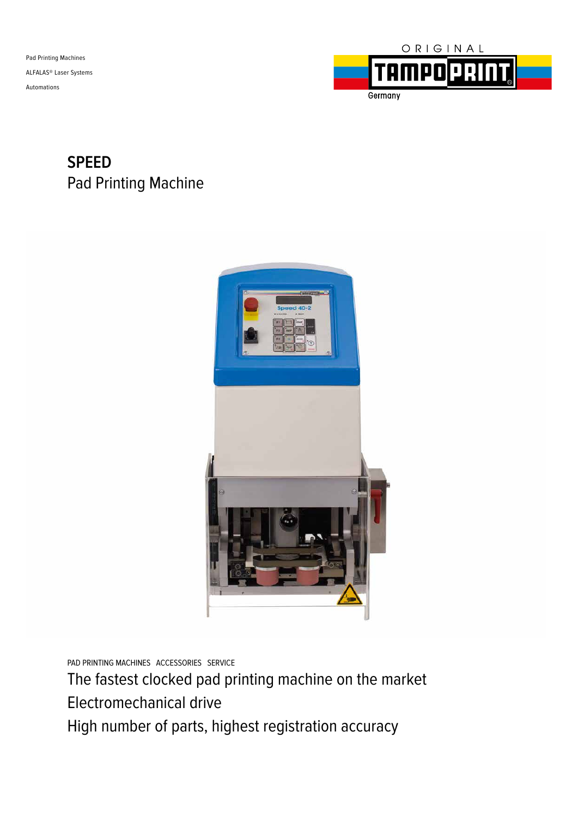Pad Printing Machines ALFALAS® Laser Systems Automations



### **SPEED** Pad Printing Machine



PAD PRINTING MACHINES ACCESSORIES SERVICE

The fastest clocked pad printing machine on the market Electromechanical drive High number of parts, highest registration accuracy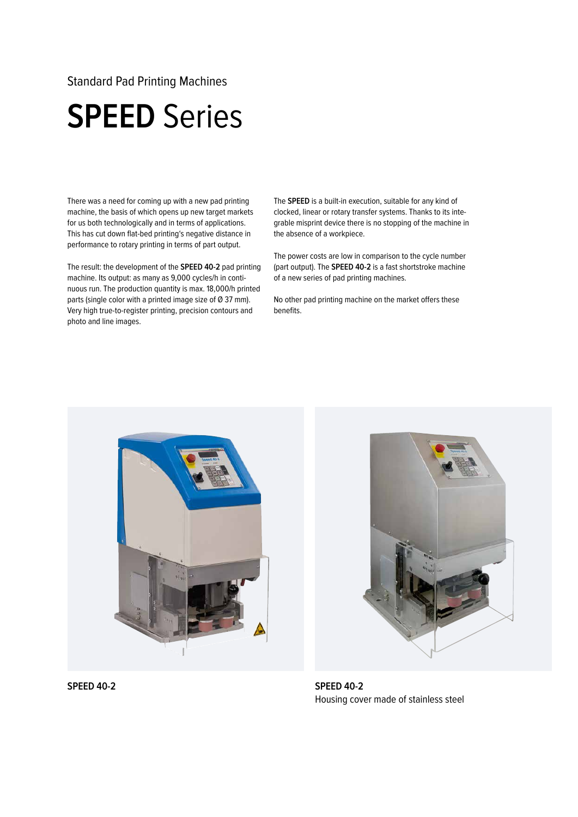#### Standard Pad Printing Machines

## **SPEED** Series

There was a need for coming up with a new pad printing machine, the basis of which opens up new target markets for us both technologically and in terms of applications. This has cut down flat-bed printing's negative distance in performance to rotary printing in terms of part output.

The result: the development of the **SPEED 40-2** pad printing machine. Its output: as many as 9,000 cycles/h in continuous run. The production quantity is max. 18,000/h printed parts (single color with a printed image size of Ø 37 mm). Very high true-to-register printing, precision contours and photo and line images.

The **SPEED** is a built-in execution, suitable for any kind of clocked, linear or rotary transfer systems. Thanks to its integrable misprint device there is no stopping of the machine in the absence of a workpiece.

The power costs are low in comparison to the cycle number (part output). The **SPEED 40-2** is a fast shortstroke machine of a new series of pad printing machines.

No other pad printing machine on the market offers these benefits.





**SPEED 40-2** Housing cover made of stainless steel

**SPEED 40-2**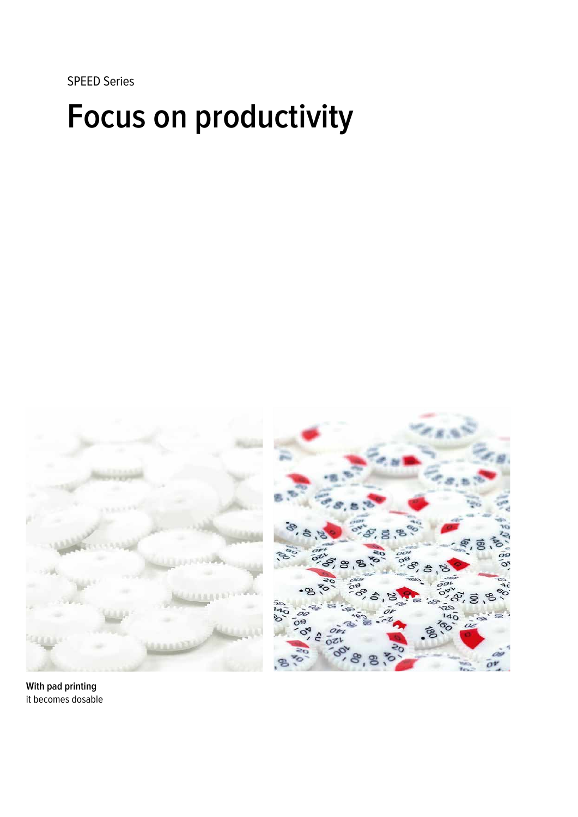SPEED Series

# **Focus on productivity**



**With pad printing** it becomes dosable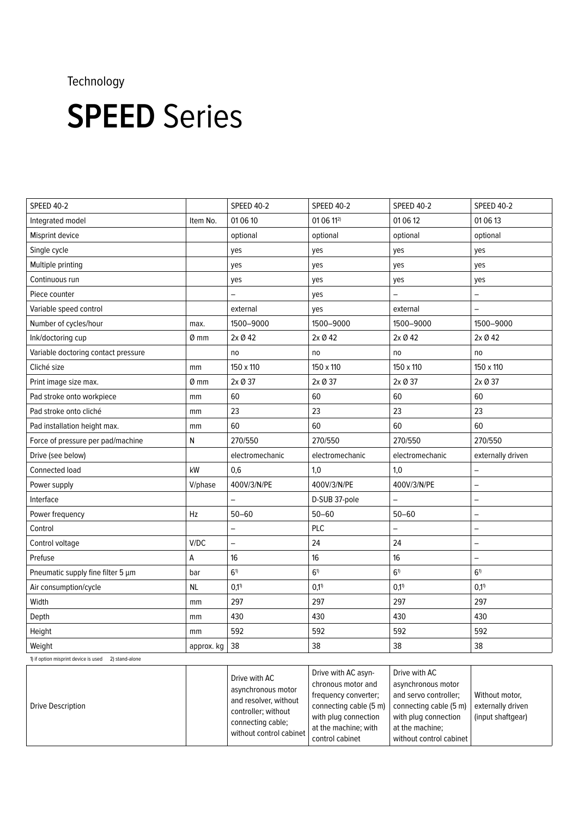### Technology

## **SPEED** Series

| <b>SPEED 40-2</b>                                   |            | <b>SPEED 40-2</b> | <b>SPEED 40-2</b> | <b>SPEED 40-2</b> | <b>SPEED 40-2</b>        |
|-----------------------------------------------------|------------|-------------------|-------------------|-------------------|--------------------------|
| Integrated model                                    | Item No.   | 01 06 10          | 01 06 112)        | 01 06 12          | 01 06 13                 |
| Misprint device                                     |            | optional          | optional          | optional          | optional                 |
| Single cycle                                        |            | yes               | yes               | yes               | yes                      |
| Multiple printing                                   |            | yes               | yes               | yes               | yes                      |
| Continuous run                                      |            | yes               | yes               | yes               | yes                      |
| Piece counter                                       |            | —                 | yes               |                   | $\overline{\phantom{0}}$ |
| Variable speed control                              |            | external          | yes               | external          |                          |
| Number of cycles/hour                               | max.       | 1500-9000         | 1500-9000         | 1500-9000         | 1500-9000                |
| Ink/doctoring cup                                   | 0 mm       | 2x Ø 42           | 2x Ø 42           | 2x Ø 42           | 2x Ø 42                  |
| Variable doctoring contact pressure                 |            | no                | no                | no                | no                       |
| Cliché size                                         | mm         | 150 x 110         | 150 x 110         | 150 x 110         | 150 x 110                |
| Print image size max.                               | Ø mm       | 2x Ø 37           | 2x Ø 37           | 2x Ø 37           | 2x Ø 37                  |
| Pad stroke onto workpiece                           | mm         | 60                | 60                | 60                | 60                       |
| Pad stroke onto cliché                              | mm         | 23                | 23                | 23                | 23                       |
| Pad installation height max.                        | mm         | 60                | 60                | 60                | 60                       |
| Force of pressure per pad/machine                   | N          | 270/550           | 270/550           | 270/550           | 270/550                  |
| Drive (see below)                                   |            | electromechanic   | electromechanic   | electromechanic   | externally driven        |
| Connected load                                      | kW         | 0,6               | 1,0               | 1,0               | $\overline{a}$           |
| Power supply                                        | V/phase    | 400V/3/N/PE       | 400V/3/N/PE       | 400V/3/N/PE       | $\overline{\phantom{0}}$ |
| Interface                                           |            |                   | D-SUB 37-pole     |                   | $\overline{\phantom{0}}$ |
| Power frequency                                     | Hz         | $50 - 60$         | $50 - 60$         | $50 - 60$         | $\overline{\phantom{0}}$ |
| Control                                             |            | $\qquad \qquad -$ | PLC               | —                 | $\overline{\phantom{0}}$ |
| Control voltage                                     | V/DC       | $\qquad \qquad -$ | 24                | 24                | —                        |
| Prefuse                                             | А          | 16                | 16                | 16                | $\overline{a}$           |
| Pneumatic supply fine filter 5 µm                   | bar        | 6 <sup>1</sup>    | 6 <sup>1</sup>    | $6^{1}$           | $6^{1}$                  |
| Air consumption/cycle                               | <b>NL</b>  | $0,1^{1}$         | $0,1^{1}$         | $0,1^{1}$         | $0,1^{1}$                |
| Width                                               | mm         | 297               | 297               | 297               | 297                      |
| Depth                                               | mm         | 430               | 430               | 430               | 430                      |
| Height                                              | mm         | 592               | 592               | 592               | 592                      |
| Weight                                              | approx. kg | 38                | 38                | 38                | 38                       |
| 1) if option misprint device is used 2) stand-alone |            |                   |                   |                   |                          |

Drive Description Drive with AC asynchronous motor and resolver, without controller; without connecting cable; without control cabinet Drive with AC asynchronous motor and frequency converter; connecting cable (5 m) with plug connection at the machine; with control cabinet Drive with AC asynchronous motor and servo controller; connecting cable (5 m) with plug connection at the machine; without control cabinet Without motor, externally driven (input shaftgear)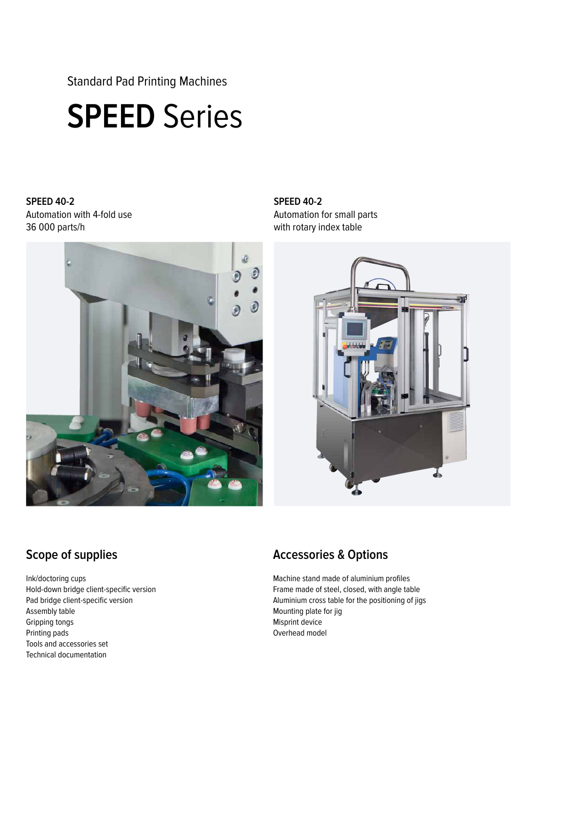Standard Pad Printing Machines

## **SPEED** Series

**SPEED 40-2** Automation with 4-fold use 36 000 parts/h



#### **SPEED 40-2** Automation for small parts with rotary index table



### **Scope of supplies**

Ink/doctoring cups Hold-down bridge client-specific version Pad bridge client-specific version Assembly table Gripping tongs Printing pads Tools and accessories set Technical documentation

### **Accessories & Options**

Machine stand made of aluminium profiles Frame made of steel, closed, with angle table Aluminium cross table for the positioning of jigs Mounting plate for jig Misprint device Overhead model